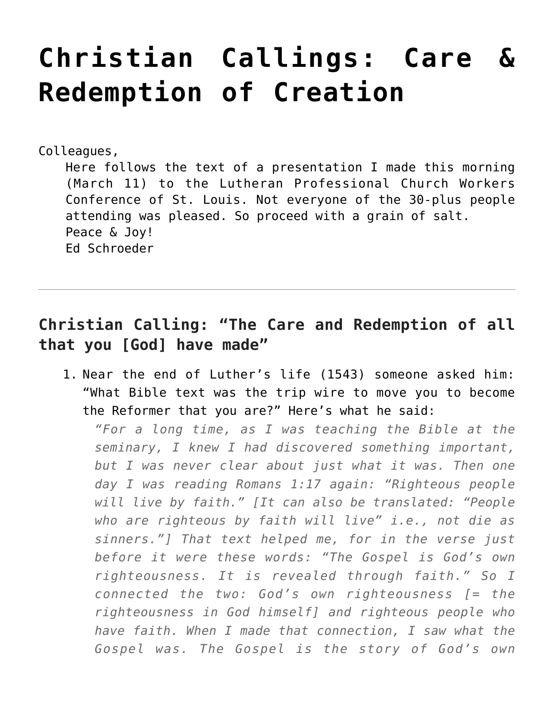## **[Christian Callings: Care &](https://crossings.org/christian-callings-care-redemption-of-creation/) [Redemption of Creation](https://crossings.org/christian-callings-care-redemption-of-creation/)**

Colleagues,

Here follows the text of a presentation I made this morning (March 11) to the Lutheran Professional Church Workers Conference of St. Louis. Not everyone of the 30-plus people attending was pleased. So proceed with a grain of salt. Peace & Joy! Ed Schroeder

## **Christian Calling: "The Care and Redemption of all that you [God] have made"**

1. Near the end of Luther's life (1543) someone asked him: "What Bible text was the trip wire to move you to become the Reformer that you are?" Here's what he said:

*"For a long time, as I was teaching the Bible at the seminary, I knew I had discovered something important, but I was never clear about just what it was. Then one day I was reading Romans 1:17 again: "Righteous people will live by faith." [It can also be translated: "People who are righteous by faith will live" i.e., not die as sinners."] That text helped me, for in the verse just before it were these words: "The Gospel is God's own righteousness. It is revealed through faith." So I connected the two: God's own righteousness [= the righteousness in God himself] and righteous people who have faith. When I made that connection, I saw what the Gospel was. The Gospel is the story of God's own*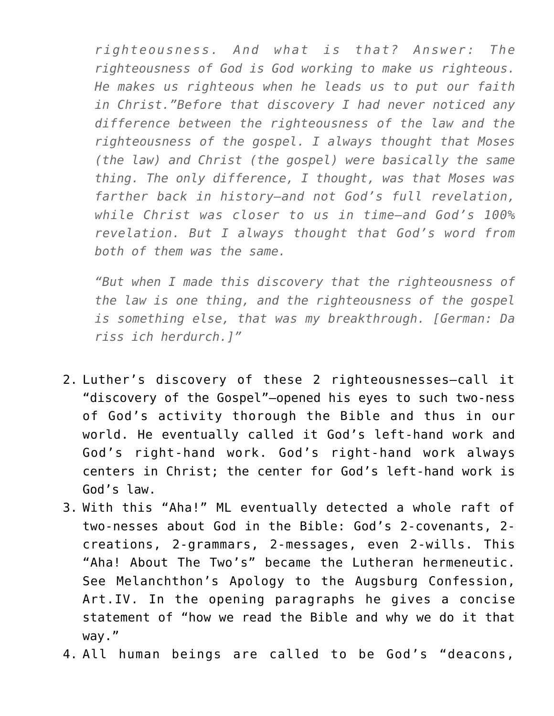*righteousness. And what is that? Answer: The righteousness of God is God working to make us righteous. He makes us righteous when he leads us to put our faith in Christ."Before that discovery I had never noticed any difference between the righteousness of the law and the righteousness of the gospel. I always thought that Moses (the law) and Christ (the gospel) were basically the same thing. The only difference, I thought, was that Moses was farther back in history–and not God's full revelation, while Christ was closer to us in time–and God's 100% revelation. But I always thought that God's word from both of them was the same.*

*"But when I made this discovery that the righteousness of the law is one thing, and the righteousness of the gospel is something else, that was my breakthrough. [German: Da riss ich herdurch.]"*

- 2. Luther's discovery of these 2 righteousnesses–call it "discovery of the Gospel"–opened his eyes to such two-ness of God's activity thorough the Bible and thus in our world. He eventually called it God's left-hand work and God's right-hand work. God's right-hand work always centers in Christ; the center for God's left-hand work is God's law.
- 3. With this "Aha!" ML eventually detected a whole raft of two-nesses about God in the Bible: God's 2-covenants, 2 creations, 2-grammars, 2-messages, even 2-wills. This "Aha! About The Two's" became the Lutheran hermeneutic. See Melanchthon's Apology to the Augsburg Confession, Art.IV. In the opening paragraphs he gives a concise statement of "how we read the Bible and why we do it that way."
- 4. All human beings are called to be God's "deacons,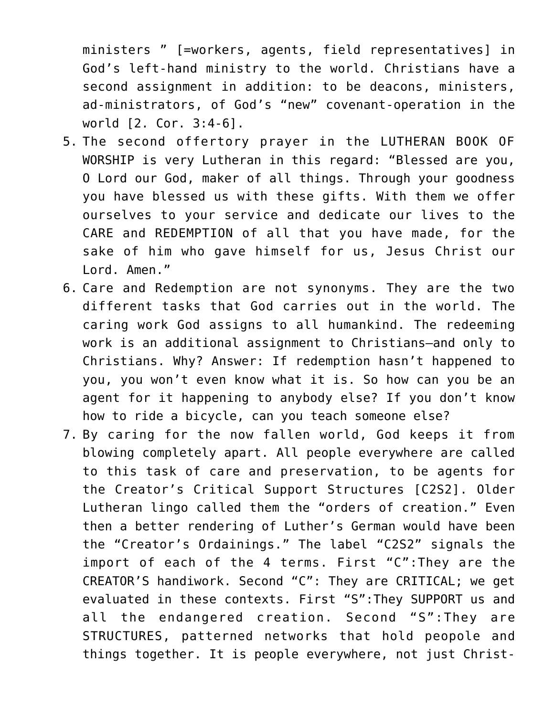ministers " [=workers, agents, field representatives] in God's left-hand ministry to the world. Christians have a second assignment in addition: to be deacons, ministers, ad-ministrators, of God's "new" covenant-operation in the world [2. Cor. 3:4-6].

- 5. The second offertory prayer in the LUTHERAN BOOK OF WORSHIP is very Lutheran in this regard: "Blessed are you, O Lord our God, maker of all things. Through your goodness you have blessed us with these gifts. With them we offer ourselves to your service and dedicate our lives to the CARE and REDEMPTION of all that you have made, for the sake of him who gave himself for us, Jesus Christ our Lord. Amen."
- 6. Care and Redemption are not synonyms. They are the two different tasks that God carries out in the world. The caring work God assigns to all humankind. The redeeming work is an additional assignment to Christians–and only to Christians. Why? Answer: If redemption hasn't happened to you, you won't even know what it is. So how can you be an agent for it happening to anybody else? If you don't know how to ride a bicycle, can you teach someone else?
- 7. By caring for the now fallen world, God keeps it from blowing completely apart. All people everywhere are called to this task of care and preservation, to be agents for the Creator's Critical Support Structures [C2S2]. Older Lutheran lingo called them the "orders of creation." Even then a better rendering of Luther's German would have been the "Creator's Ordainings." The label "C2S2" signals the import of each of the 4 terms. First "C":They are the CREATOR'S handiwork. Second "C": They are CRITICAL; we get evaluated in these contexts. First "S":They SUPPORT us and all the endangered creation. Second "S":They are STRUCTURES, patterned networks that hold peopole and things together. It is people everywhere, not just Christ-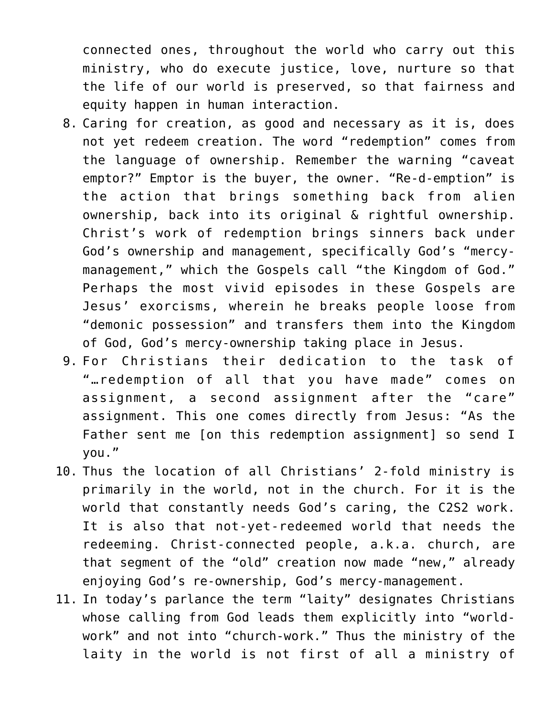connected ones, throughout the world who carry out this ministry, who do execute justice, love, nurture so that the life of our world is preserved, so that fairness and equity happen in human interaction.

- 8. Caring for creation, as good and necessary as it is, does not yet redeem creation. The word "redemption" comes from the language of ownership. Remember the warning "caveat emptor?" Emptor is the buyer, the owner. "Re-d-emption" is the action that brings something back from alien ownership, back into its original & rightful ownership. Christ's work of redemption brings sinners back under God's ownership and management, specifically God's "mercymanagement," which the Gospels call "the Kingdom of God." Perhaps the most vivid episodes in these Gospels are Jesus' exorcisms, wherein he breaks people loose from "demonic possession" and transfers them into the Kingdom of God, God's mercy-ownership taking place in Jesus.
- 9. For Christians their dedication to the task of "…redemption of all that you have made" comes on assignment, a second assignment after the "care" assignment. This one comes directly from Jesus: "As the Father sent me [on this redemption assignment] so send I you."
- 10. Thus the location of all Christians' 2-fold ministry is primarily in the world, not in the church. For it is the world that constantly needs God's caring, the C2S2 work. It is also that not-yet-redeemed world that needs the redeeming. Christ-connected people, a.k.a. church, are that segment of the "old" creation now made "new," already enjoying God's re-ownership, God's mercy-management.
- 11. In today's parlance the term "laity" designates Christians whose calling from God leads them explicitly into "worldwork" and not into "church-work." Thus the ministry of the laity in the world is not first of all a ministry of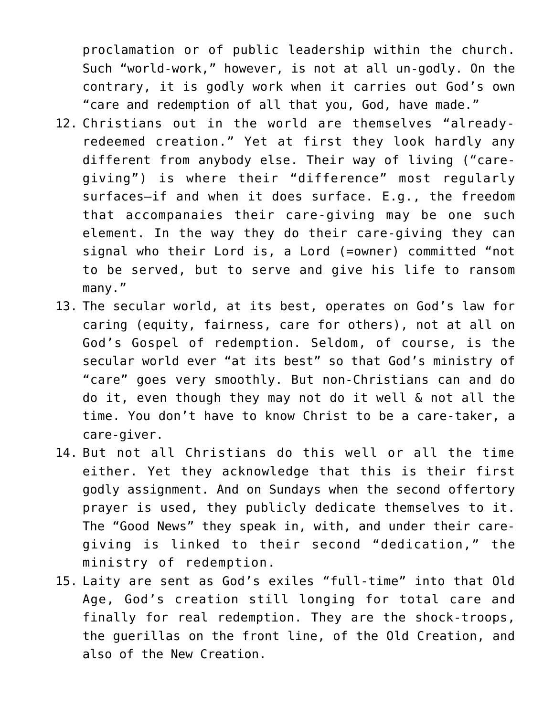proclamation or of public leadership within the church. Such "world-work," however, is not at all un-godly. On the contrary, it is godly work when it carries out God's own "care and redemption of all that you, God, have made."

- 12. Christians out in the world are themselves "alreadyredeemed creation." Yet at first they look hardly any different from anybody else. Their way of living ("caregiving") is where their "difference" most regularly surfaces–if and when it does surface. E.g., the freedom that accompanaies their care-giving may be one such element. In the way they do their care-giving they can signal who their Lord is, a Lord (=owner) committed "not to be served, but to serve and give his life to ransom many."
- 13. The secular world, at its best, operates on God's law for caring (equity, fairness, care for others), not at all on God's Gospel of redemption. Seldom, of course, is the secular world ever "at its best" so that God's ministry of "care" goes very smoothly. But non-Christians can and do do it, even though they may not do it well & not all the time. You don't have to know Christ to be a care-taker, a care-giver.
- 14. But not all Christians do this well or all the time either. Yet they acknowledge that this is their first godly assignment. And on Sundays when the second offertory prayer is used, they publicly dedicate themselves to it. The "Good News" they speak in, with, and under their caregiving is linked to their second "dedication," the ministry of redemption.
- 15. Laity are sent as God's exiles "full-time" into that Old Age, God's creation still longing for total care and finally for real redemption. They are the shock-troops, the guerillas on the front line, of the Old Creation, and also of the New Creation.